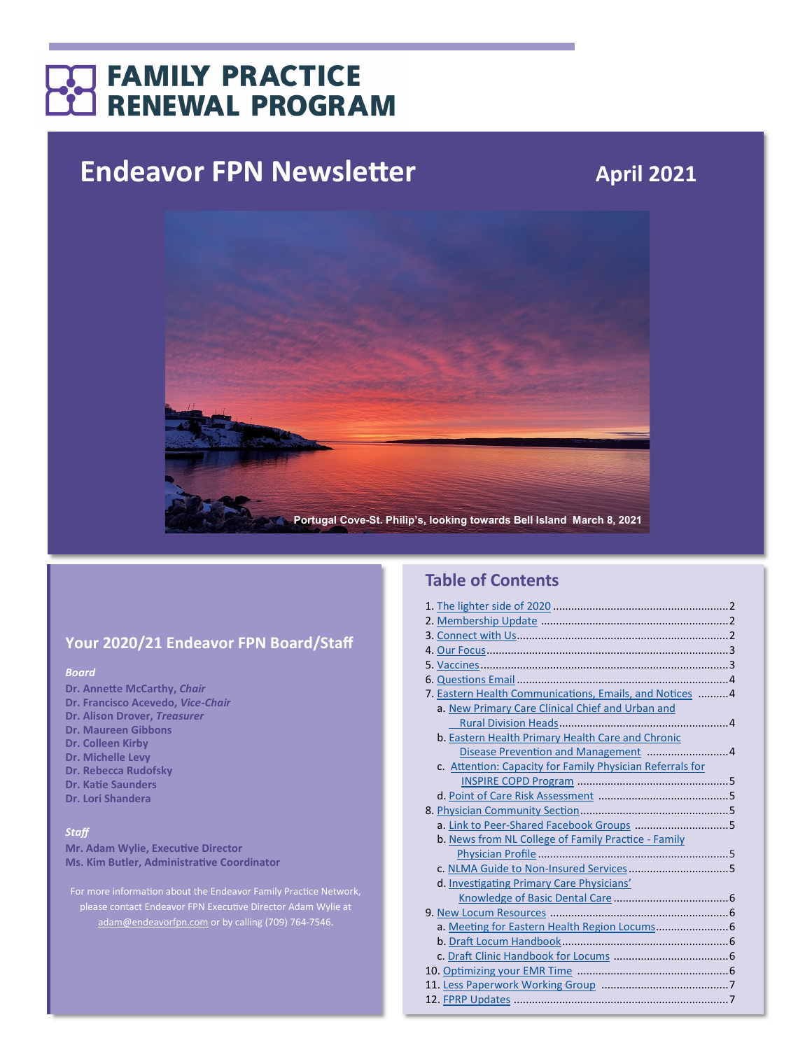## **FAMILY PRACTICE RENEWAL PROGRAM**

# **Endeavor FPN Newsletter April 2021**



## **Your 2020/21 Endeavor FPN Board/Staff**

#### *Board*

- **Dr. Annette McCarthy,** *Chair*
- **Dr. Francisco Acevedo,** *Vice-Chair*
- **Dr. Alison Drover,** *Treasurer*
- **Dr. Maureen Gibbons Dr. Colleen Kirby**
- **Dr. Michelle Levy**
- **Dr. Rebecca Rudofsky**
- **Dr. Katie Saunders**
- **Dr. Lori Shandera**

#### *Staff*

**Mr. Adam Wylie, Executive Director Ms. Kim Butler, Administrative Coordinator**

For more information about the Endeavor Family Practice Network, please contact Endeavor FPN Executive Director Adam Wylie at [adam@endeavorfpn.com](mailto:adam@endeavorfpn.com) or by calling (709) 764-7546.

## **Table of Contents**

| 7. Eastern Health Communications, Emails, and Notices  4  |  |
|-----------------------------------------------------------|--|
| a. New Primary Care Clinical Chief and Urban and          |  |
|                                                           |  |
| b. Eastern Health Primary Health Care and Chronic         |  |
|                                                           |  |
| c. Attention: Capacity for Family Physician Referrals for |  |
|                                                           |  |
|                                                           |  |
|                                                           |  |
| a. Link to Peer-Shared Facebook Groups 5                  |  |
| b. News from NL College of Family Practice - Family       |  |
|                                                           |  |
|                                                           |  |
| d. Investigating Primary Care Physicians'                 |  |
|                                                           |  |
|                                                           |  |
| a. Meeting for Eastern Health Region Locums 6             |  |
|                                                           |  |
|                                                           |  |
|                                                           |  |
|                                                           |  |
|                                                           |  |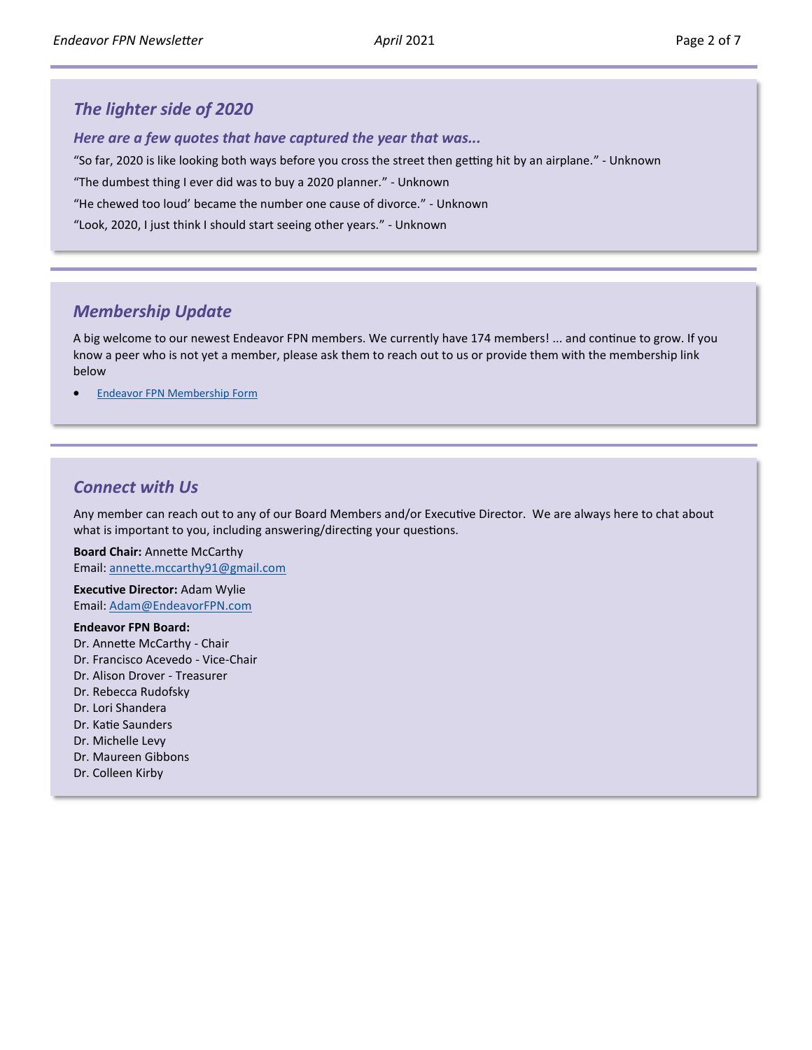## <span id="page-1-0"></span>*The lighter side of 2020*

*Here are a few quotes that have captured the year that was...*

"So far, 2020 is like looking both ways before you cross the street then getting hit by an airplane." - Unknown

"The dumbest thing I ever did was to buy a 2020 planner." - Unknown

"He chewed too loud' became the number one cause of divorce." - Unknown

"Look, 2020, I just think I should start seeing other years." - Unknown

## *Membership Update*

A big welcome to our newest Endeavor FPN members. We currently have 174 members! ... and continue to grow. If you know a peer who is not yet a member, please ask them to reach out to us or provide them with the membership link below

**[Endeavor FPN Membership Form](https://nlmaforms.formstack.com/forms/fpnmembershipapplication?selection=Endeavor%20FPN)** 

### *Connect with Us*

Any member can reach out to any of our Board Members and/or Executive Director. We are always here to chat about what is important to you, including answering/directing your questions.

**Board Chair:** Annette McCarthy Email: [annette.mccarthy91@gmail.com](mailto:annette.mccarthy91@gmail.com?subject=Endeavor%20FPN)

**Executive Director:** Adam Wylie Email: [Adam@EndeavorFPN.com](mailto:Adam@EndeavorFPN.com?subject=Endeavor%20FPN)

#### **Endeavor FPN Board:**

- Dr. Annette McCarthy Chair
- Dr. Francisco Acevedo Vice-Chair
- Dr. Alison Drover Treasurer
- Dr. Rebecca Rudofsky
- Dr. Lori Shandera
- Dr. Katie Saunders
- Dr. Michelle Levy
- Dr. Maureen Gibbons
- Dr. Colleen Kirby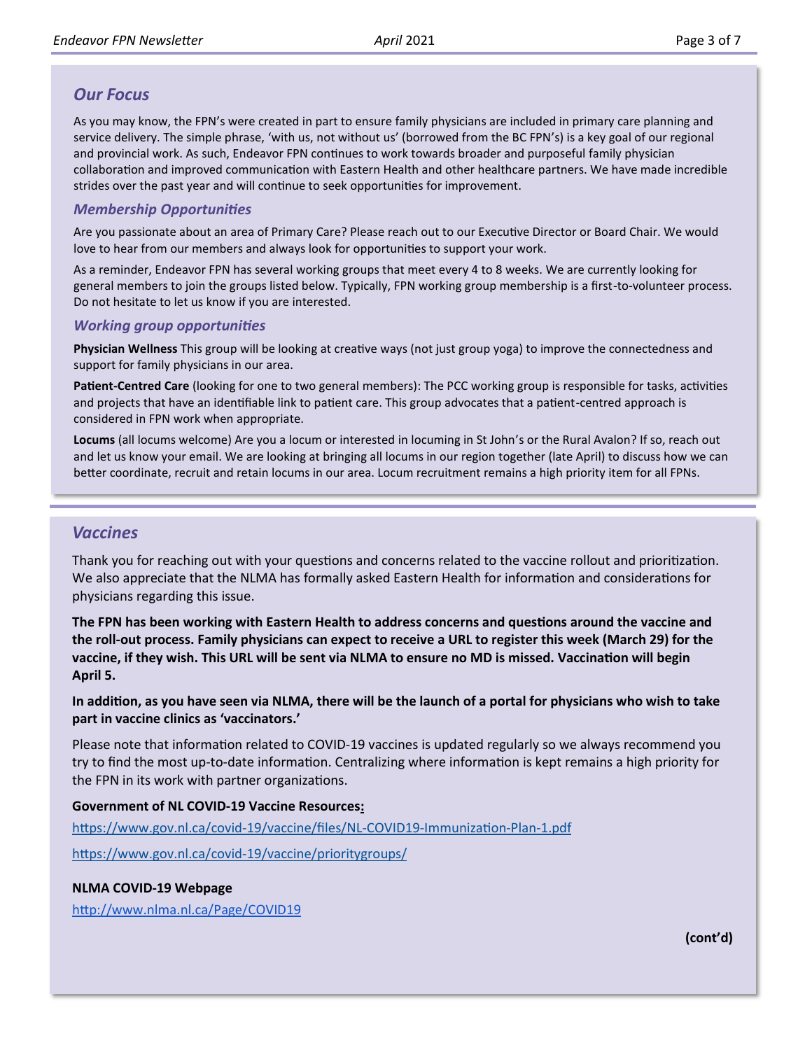## <span id="page-2-0"></span>*Our Focus*

As you may know, the FPN's were created in part to ensure family physicians are included in primary care planning and service delivery. The simple phrase, 'with us, not without us' (borrowed from the BC FPN's) is a key goal of our regional and provincial work. As such, Endeavor FPN continues to work towards broader and purposeful family physician collaboration and improved communication with Eastern Health and other healthcare partners. We have made incredible strides over the past year and will continue to seek opportunities for improvement.

#### *Membership Opportunities*

Are you passionate about an area of Primary Care? Please reach out to our Executive Director or Board Chair. We would love to hear from our members and always look for opportunities to support your work.

As a reminder, Endeavor FPN has several working groups that meet every 4 to 8 weeks. We are currently looking for general members to join the groups listed below. Typically, FPN working group membership is a first-to-volunteer process. Do not hesitate to let us know if you are interested.

#### *Working group opportunities*

**Physician Wellness** This group will be looking at creative ways (not just group yoga) to improve the connectedness and support for family physicians in our area.

**Patient-Centred Care** (looking for one to two general members): The PCC working group is responsible for tasks, activities and projects that have an identifiable link to patient care. This group advocates that a patient-centred approach is considered in FPN work when appropriate.

**Locums** (all locums welcome) Are you a locum or interested in locuming in St John's or the Rural Avalon? If so, reach out and let us know your email. We are looking at bringing all locums in our region together (late April) to discuss how we can better coordinate, recruit and retain locums in our area. Locum recruitment remains a high priority item for all FPNs.

## *Vaccines*

Thank you for reaching out with your questions and concerns related to the vaccine rollout and prioritization. We also appreciate that the NLMA has formally asked Eastern Health for information and considerations for physicians regarding this issue.

**The FPN has been working with Eastern Health to address concerns and questions around the vaccine and the roll-out process. Family physicians can expect to receive a URL to register this week (March 29) for the vaccine, if they wish. This URL will be sent via NLMA to ensure no MD is missed. Vaccination will begin April 5.**

#### **In addition, as you have seen via NLMA, there will be the launch of a portal for physicians who wish to take part in vaccine clinics as 'vaccinators.'**

Please note that information related to COVID-19 vaccines is updated regularly so we always recommend you try to find the most up-to-date information. Centralizing where information is kept remains a high priority for the FPN in its work with partner organizations.

#### **Government of NL COVID-19 Vaccine Resources:**

[https://www.gov.nl.ca/covid](https://www.gov.nl.ca/covid-19/vaccine/files/NL-COVID19-Immunization-Plan-1.pdf)-19/vaccine/files/NL-COVID19-Immunization-Plan-1.pdf [https://www.gov.nl.ca/covid](https://www.gov.nl.ca/covid-19/vaccine/prioritygroups/)-19/vaccine/prioritygroups/

#### **NLMA COVID-19 Webpage**

<http://www.nlma.nl.ca/Page/COVID19>

**(cont'd)**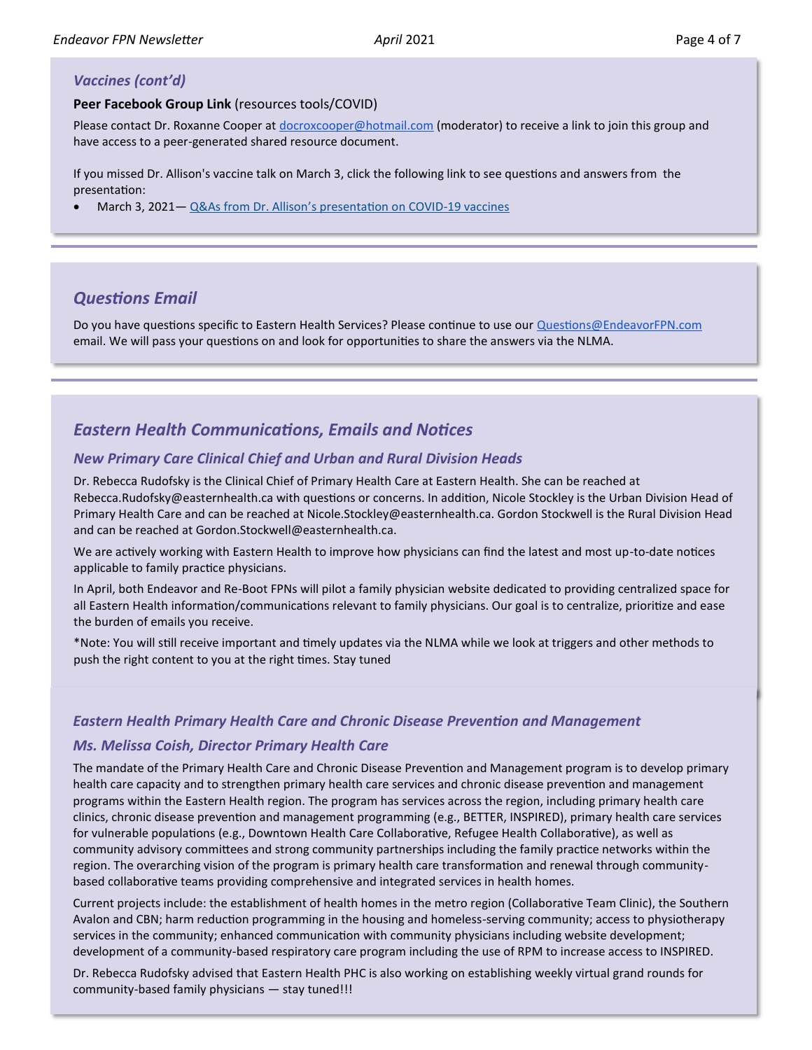#### <span id="page-3-0"></span>*Vaccines (cont'd)*

#### **Peer Facebook Group Link** (resources tools/COVID)

Please contact Dr. Roxanne Cooper at [docroxcooper@hotmail.com](mailto:docroxcooper@hotmail.com) (moderator) to receive a link to join this group and have access to a peer-generated shared resource document.

If you missed Dr. Allison's vaccine talk on March 3, click the following link to see questions and answers from the presentation:

• March 3, 2021— Q&As from Dr. Allison'[s presentation on COVID](http://familypracticerenewalnl.ca/wp-content/uploads/2021/03/2021.03.03-04_COVID-19_Vaccination_Presentation_Q__As_Dr_David_Allison.pdf)-19 vaccines

## *Questions Email*

Do you have questions specific to Eastern Health Services? Please continue to use our [Questions@EndeavorFPN.com](mailto:Questions@EndeavorFPN.com) email. We will pass your questions on and look for opportunities to share the answers via the NLMA.

## *Eastern Health Communications, Emails and Notices*

#### *New Primary Care Clinical Chief and Urban and Rural Division Heads*

Dr. Rebecca Rudofsky is the Clinical Chief of Primary Health Care at Eastern Health. She can be reached at Rebecca.Rudofsky@easternhealth.ca with questions or concerns. In addition, Nicole Stockley is the Urban Division Head of Primary Health Care and can be reached at Nicole.Stockley@easternhealth.ca. Gordon Stockwell is the Rural Division Head and can be reached at Gordon.Stockwell@easternhealth.ca.

We are actively working with Eastern Health to improve how physicians can find the latest and most up-to-date notices applicable to family practice physicians.

In April, both Endeavor and Re-Boot FPNs will pilot a family physician website dedicated to providing centralized space for all Eastern Health information/communications relevant to family physicians. Our goal is to centralize, prioritize and ease the burden of emails you receive.

\*Note: You will still receive important and timely updates via the NLMA while we look at triggers and other methods to push the right content to you at the right times. Stay tuned

#### *Eastern Health Primary Health Care and Chronic Disease Prevention and Management*

#### *Ms. Melissa Coish, Director Primary Health Care*

The mandate of the Primary Health Care and Chronic Disease Prevention and Management program is to develop primary health care capacity and to strengthen primary health care services and chronic disease prevention and management programs within the Eastern Health region. The program has services across the region, including primary health care clinics, chronic disease prevention and management programming (e.g., BETTER, INSPIRED), primary health care services for vulnerable populations (e.g., Downtown Health Care Collaborative, Refugee Health Collaborative), as well as community advisory committees and strong community partnerships including the family practice networks within the region. The overarching vision of the program is primary health care transformation and renewal through communitybased collaborative teams providing comprehensive and integrated services in health homes.

Current projects include: the establishment of health homes in the metro region (Collaborative Team Clinic), the Southern Avalon and CBN; harm reduction programming in the housing and homeless-serving community; access to physiotherapy services in the community; enhanced communication with community physicians including website development; development of a community-based respiratory care program including the use of RPM to increase access to INSPIRED.

Dr. Rebecca Rudofsky advised that Eastern Health PHC is also working on establishing weekly virtual grand rounds for community-based family physicians — stay tuned!!!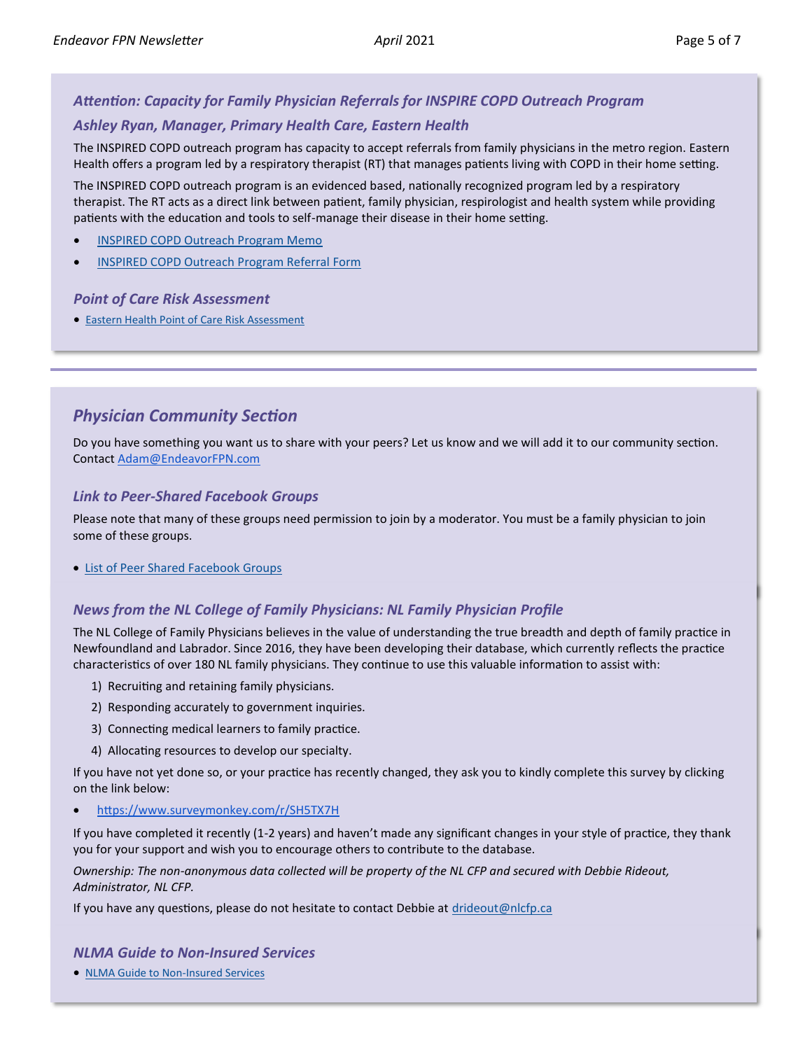## <span id="page-4-0"></span>*Attention: Capacity for Family Physician Referrals for INSPIRE COPD Outreach Program*

#### *Ashley Ryan, Manager, Primary Health Care, Eastern Health*

The INSPIRED COPD outreach program has capacity to accept referrals from family physicians in the metro region. Eastern Health offers a program led by a respiratory therapist (RT) that manages patients living with COPD in their home setting.

The INSPIRED COPD outreach program is an evidenced based, nationally recognized program led by a respiratory therapist. The RT acts as a direct link between patient, family physician, respirologist and health system while providing patients with the education and tools to self-manage their disease in their home setting.

- [INSPIRED COPD Outreach Program Memo](http://familypracticerenewalnl.ca/wp-content/uploads/2021/04/INSPIRED_FPN.pdf)
- [INSPIRED COPD Outreach Program Referral Form](http://familypracticerenewalnl.ca/wp-content/uploads/2021/04/INSPIRED_Referrals_Fall_2020.pdf)

#### *Point of Care Risk Assessment*

• [Eastern Health Point of Care Risk Assessment](http://familypracticerenewalnl.ca/wp-content/uploads/2021/04/COVID-19_Point-of-Care_Risk_Assessment.pdf)

## *Physician Community Section*

Do you have something you want us to share with your peers? Let us know and we will add it to our community section. Contact [Adam@EndeavorFPN.com](mailto:Adam@EndeavorFPN.com)

#### *Link to Peer-Shared Facebook Groups*

Please note that many of these groups need permission to join by a moderator. You must be a family physician to join some of these groups.

• [List of Peer Shared Facebook Groups](https://docs.google.com/document/d/14GcjwC8rLTlvjN6SMQAZJNa0fvU8t8-E5VgzZQU_rac/edit)

#### *News from the NL College of Family Physicians: NL Family Physician Profile*

The NL College of Family Physicians believes in the value of understanding the true breadth and depth of family practice in Newfoundland and Labrador. Since 2016, they have been developing their database, which currently reflects the practice characteristics of over 180 NL family physicians. They continue to use this valuable information to assist with:

- 1) Recruiting and retaining family physicians.
- 2) Responding accurately to government inquiries.
- 3) Connecting medical learners to family practice.
- 4) Allocating resources to develop our specialty.

If you have not yet done so, or your practice has recently changed, they ask you to kindly complete this survey by clicking on the link below:

• <https://www.surveymonkey.com/r/SH5TX7H>

If you have completed it recently (1-2 years) and haven't made any significant changes in your style of practice, they thank you for your support and wish you to encourage others to contribute to the database.

*Ownership: The non-anonymous data collected will be property of the NL CFP and secured with Debbie Rideout, Administrator, NL CFP.*

If you have any questions, please do not hesitate to contact Debbie at [drideout@nlcfp.ca](mailto:drideout@nlcfp.ca?subject=NL%20CFP%20Physician%20Profile)

#### *NLMA Guide to Non-Insured Services*

• [NLMA Guide to Non](http://www.nlma.nl.ca/FileManager/Publications/Guides/nlma-physicians-guide-to-non-insured-service-june-2018.pdf)-Insured Services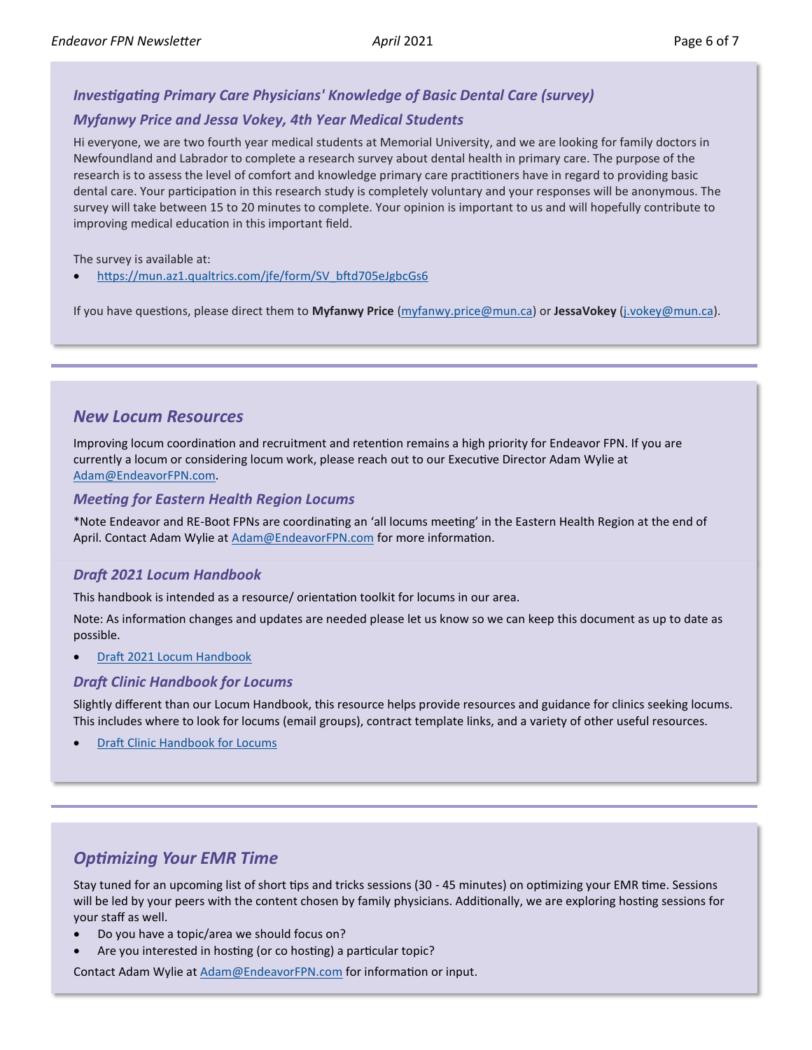#### <span id="page-5-0"></span>*Investigating Primary Care Physicians' Knowledge of Basic Dental Care (survey)*

#### *Myfanwy Price and Jessa Vokey, 4th Year Medical Students*

Hi everyone, we are two fourth year medical students at Memorial University, and we are looking for family doctors in Newfoundland and Labrador to complete a research survey about dental health in primary care. The purpose of the research is to assess the level of comfort and knowledge primary care practitioners have in regard to providing basic dental care. Your participation in this research study is completely voluntary and your responses will be anonymous. The survey will take between 15 to 20 minutes to complete. Your opinion is important to us and will hopefully contribute to improving medical education in this important field.

The survey is available at:

• [https://mun.az1.qualtrics.com/jfe/form/SV\\_bftd705eJgbcGs6](https://mun.az1.qualtrics.com/jfe/form/SV_bftd705eJgbcGs6)

If you have questions, please direct them to **Myfanwy Price** ([myfanwy.price@mun.ca\)](mailto:myfanwy.price@mun.ca?subject=Investigating%20Primary%20Care%20Physicians) or **JessaVokey** [\(j.vokey@mun.ca\)](mailto:j.vokey@mun.ca?subject=Investigating%20Primary%20Care%20Physicians).

#### *New Locum Resources*

Improving locum coordination and recruitment and retention remains a high priority for Endeavor FPN. If you are currently a locum or considering locum work, please reach out to our Executive Director Adam Wylie at [Adam@EndeavorFPN.com.](mailto:Adam@EndeavorFPN.com?subject=Locum%20Resources)

#### *Meeting for Eastern Health Region Locums*

\*Note Endeavor and RE-Boot FPNs are coordinating an 'all locums meeting' in the Eastern Health Region at the end of April. Contact Adam Wylie at [Adam@EndeavorFPN.com](mailto:Adam@EndeavorFPN.com?subject=Endeavor%20and%20RE-Boot%20FPN%20All%20Locums%20Meeting) for more information.

#### *Draft 2021 Locum Handbook*

This handbook is intended as a resource/ orientation toolkit for locums in our area.

Note: As information changes and updates are needed please let us know so we can keep this document as up to date as possible.

• [Draft 2021 Locum Handbook](https://docs.google.com/document/d/1WVZd8tDm8UYLthVQ-pxwllFOw5wGct6IN1gjPPEuShc/edit)

#### *Draft Clinic Handbook for Locums*

Slightly different than our Locum Handbook, this resource helps provide resources and guidance for clinics seeking locums. This includes where to look for locums (email groups), contract template links, and a variety of other useful resources.

**[Draft Clinic Handbook for Locums](https://docs.google.com/document/d/1DnMKfrgR8oV_ng5IZ7qMBVtQxKU3cTzdUiC9JeRQXCo/edit)** 

### *Optimizing Your EMR Time*

Stay tuned for an upcoming list of short tips and tricks sessions (30 - 45 minutes) on optimizing your EMR time. Sessions will be led by your peers with the content chosen by family physicians. Additionally, we are exploring hosting sessions for your staff as well.

- Do you have a topic/area we should focus on?
- Are you interested in hosting (or co hosting) a particular topic?

Contact Adam Wylie at [Adam@EndeavorFPN.com](mailto:Adam@EndeavorFPN.com?subject=Optimizing%20EMR%20Time) for information or input.